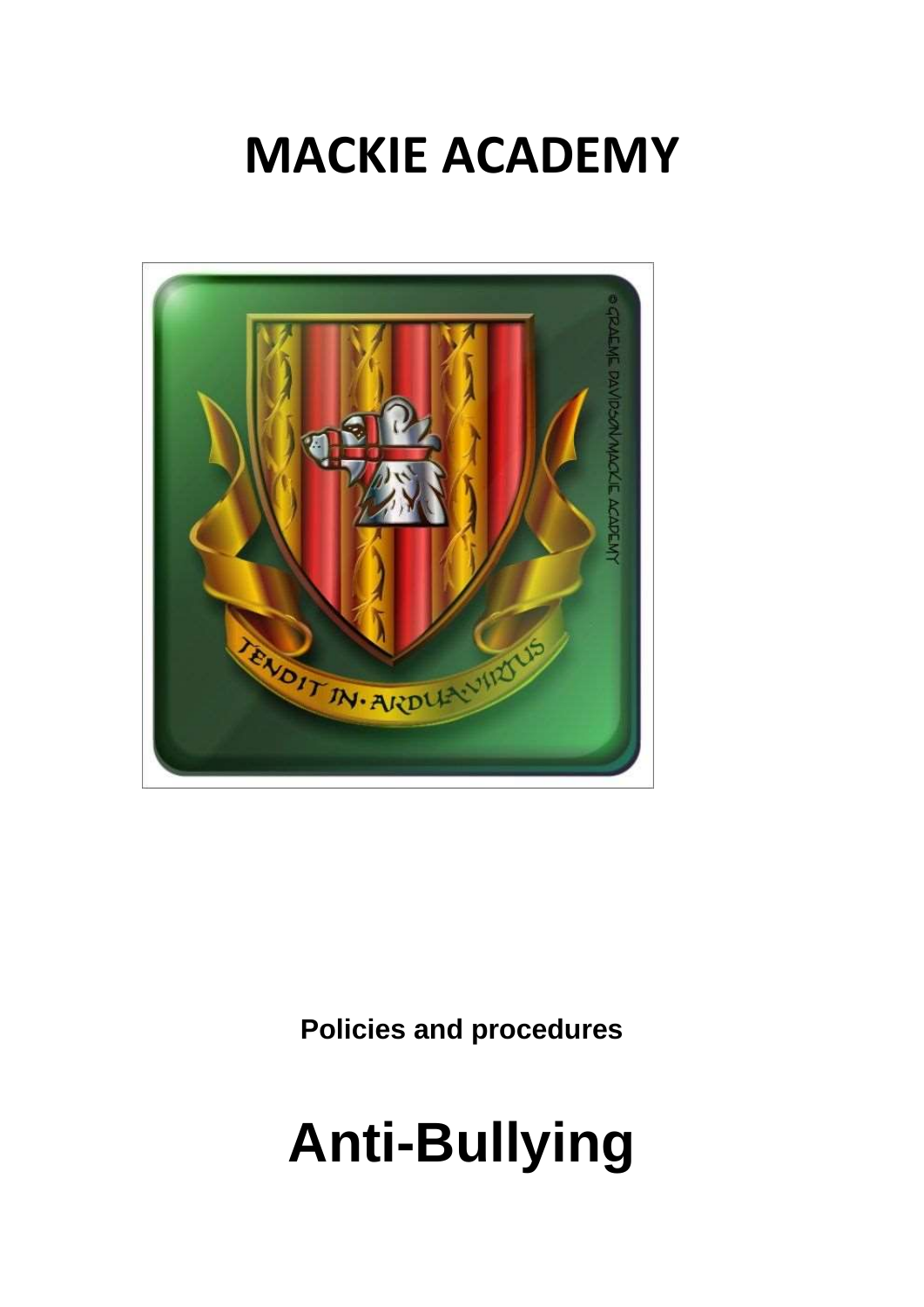# **MACKIE ACADEMY**



**Policies and procedures**

# **Anti-Bullying**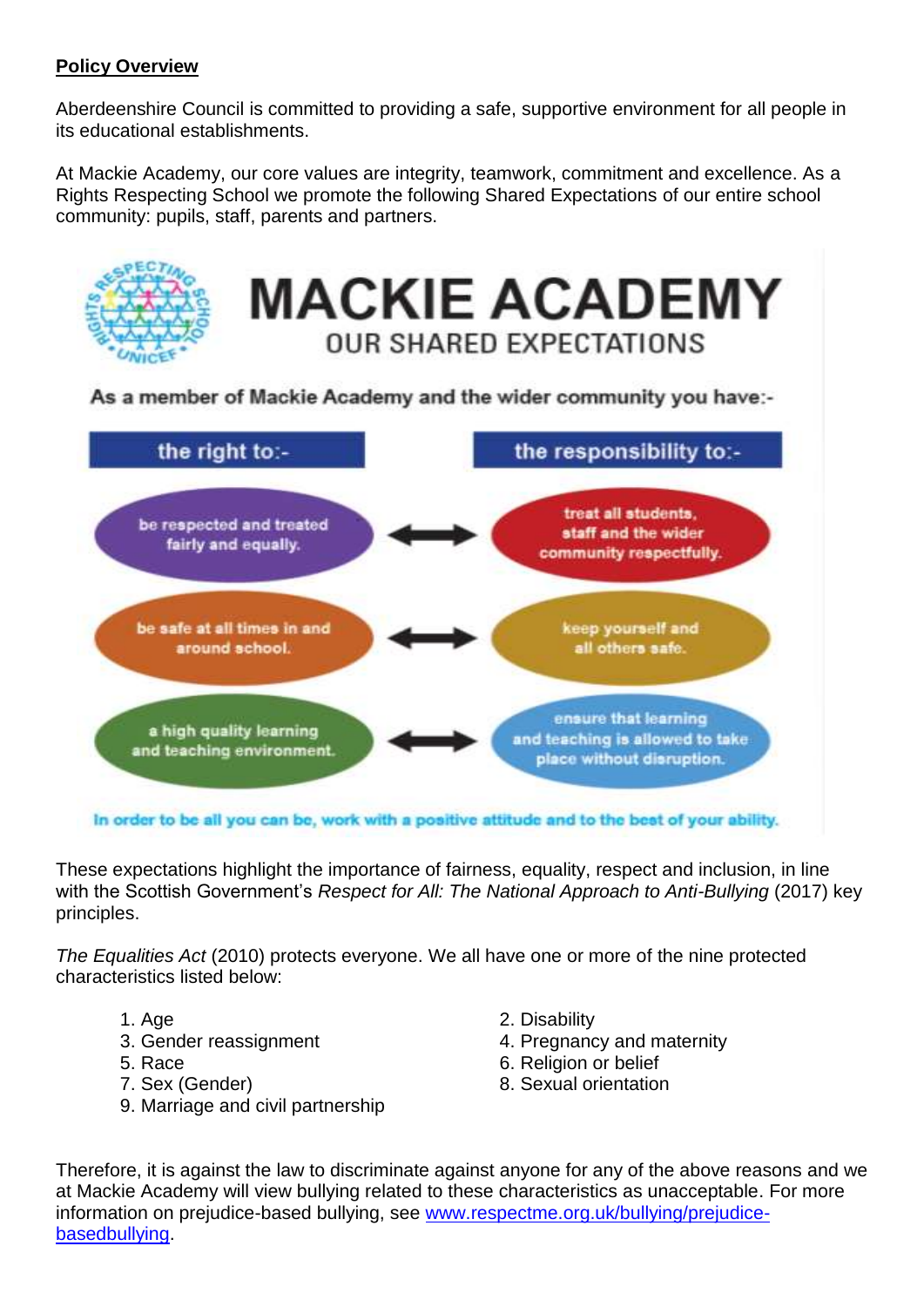### **Policy Overview**

Aberdeenshire Council is committed to providing a safe, supportive environment for all people in its educational establishments.

At Mackie Academy, our core values are integrity, teamwork, commitment and excellence. As a Rights Respecting School we promote the following Shared Expectations of our entire school community: pupils, staff, parents and partners.



These expectations highlight the importance of fairness, equality, respect and inclusion, in line with the Scottish Government's *Respect for All: The National Approach to Anti-Bullying (2017)* key principles.

*The Equalities Act* (2010) protects everyone. We all have one or more of the nine protected characteristics listed below:

- 
- 
- 
- 
- 9. Marriage and civil partnership
- 1. Age 2. Disability
- 3. Gender reassignment 4. Pregnancy and maternity
- 5. Race 6. Religion or belief
- 7. Sex (Gender) 8. Sexual orientation

Therefore, it is against the law to discriminate against anyone for any of the above reasons and we at Mackie Academy will view bullying related to these characteristics as unacceptable. For more information on prejudice-based bullying, see [www.respectme.org.uk/bullying/prejudice](http://www.respectme.org.uk/bullying/prejudice-basedbullying)[basedbullying.](http://www.respectme.org.uk/bullying/prejudice-basedbullying)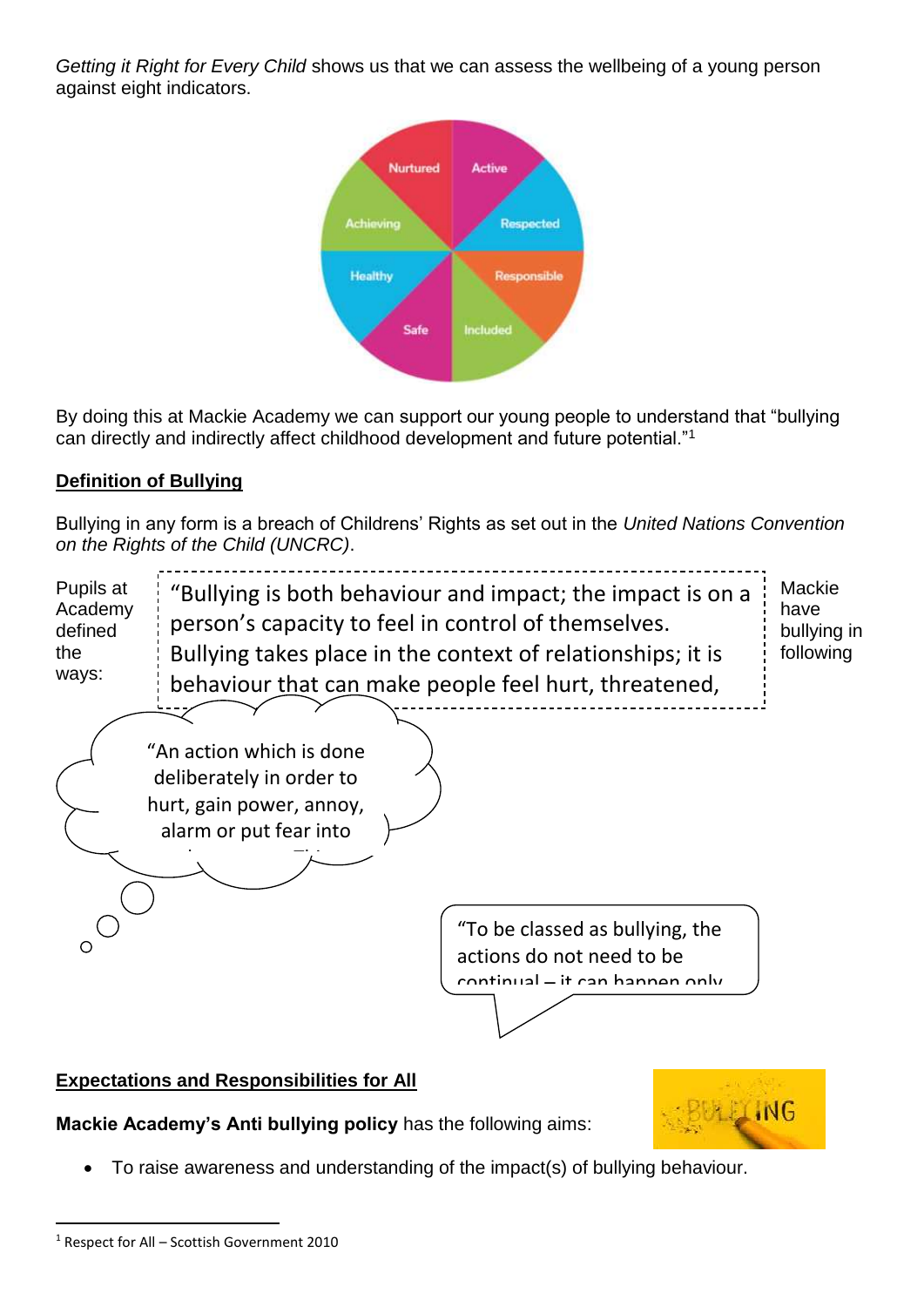*Getting it Right for Every Child* shows us that we can assess the wellbeing of a young person against eight indicators.



By doing this at Mackie Academy we can support our young people to understand that "bullying can directly and indirectly affect childhood development and future potential."<sup>1</sup>

# **Definition of Bullying**

Bullying in any form is a breach of Childrens' Rights as set out in the *United Nations Convention on the Rights of the Child (UNCRC)*.

| Pupils at<br>Academy<br>defined<br>the<br>ways: | person's capacity to feel in control of themselves.                                                        | "Bullying is both behaviour and impact; the impact is on a<br>Bullying takes place in the context of relationships; it is<br>behaviour that can make people feel hurt, threatened, | Mackie<br>have<br>bullying in<br>following |
|-------------------------------------------------|------------------------------------------------------------------------------------------------------------|------------------------------------------------------------------------------------------------------------------------------------------------------------------------------------|--------------------------------------------|
|                                                 | "An action which is done<br>deliberately in order to<br>hurt, gain power, annoy,<br>alarm or put fear into |                                                                                                                                                                                    |                                            |
|                                                 |                                                                                                            | "To be classed as bullying, the<br>actions do not need to be<br>rontinual - it can hannen only                                                                                     |                                            |

## **Expectations and Responsibilities for All**

**Mackie Academy's Anti bullying policy** has the following aims:

- BULLING
- To raise awareness and understanding of the impact(s) of bullying behaviour.

.

<sup>1</sup> Respect for All – Scottish Government 2010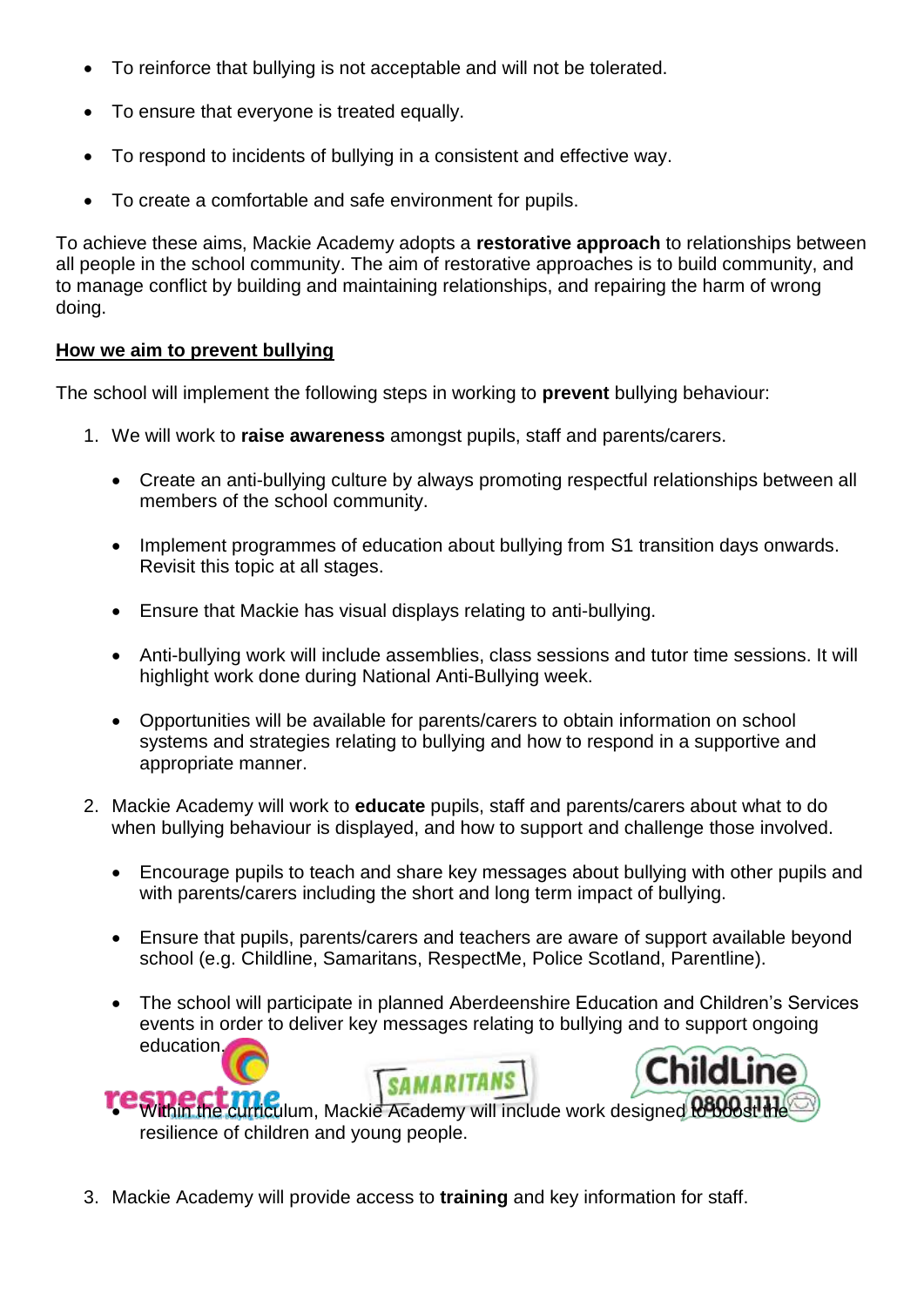- To reinforce that bullying is not acceptable and will not be tolerated.
- To ensure that everyone is treated equally.
- To respond to incidents of bullying in a consistent and effective way.
- To create a comfortable and safe environment for pupils.

To achieve these aims, Mackie Academy adopts a **restorative approach** to relationships between all people in the school community. The aim of restorative approaches is to build community, and to manage conflict by building and maintaining relationships, and repairing the harm of wrong doing.

#### **How we aim to prevent bullying**

The school will implement the following steps in working to **prevent** bullying behaviour:

- 1. We will work to **raise awareness** amongst pupils, staff and parents/carers.
	- Create an anti-bullying culture by always promoting respectful relationships between all members of the school community.
	- Implement programmes of education about bullying from S1 transition days onwards. Revisit this topic at all stages.
	- Ensure that Mackie has visual displays relating to anti-bullying.
	- Anti-bullying work will include assemblies, class sessions and tutor time sessions. It will highlight work done during National Anti-Bullying week.
	- Opportunities will be available for parents/carers to obtain information on school systems and strategies relating to bullying and how to respond in a supportive and appropriate manner.
- 2. Mackie Academy will work to **educate** pupils, staff and parents/carers about what to do when bullying behaviour is displayed, and how to support and challenge those involved.
	- Encourage pupils to teach and share key messages about bullying with other pupils and with parents/carers including the short and long term impact of bullying.
	- Ensure that pupils, parents/carers and teachers are aware of support available beyond school (e.g. Childline, Samaritans, RespectMe, Police Scotland, Parentline).
	- The school will participate in planned Aberdeenshire Education and Children's Services events in order to deliver key messages relating to bullying and to support ongoing education. **ChildLine**



3. Mackie Academy will provide access to **training** and key information for staff.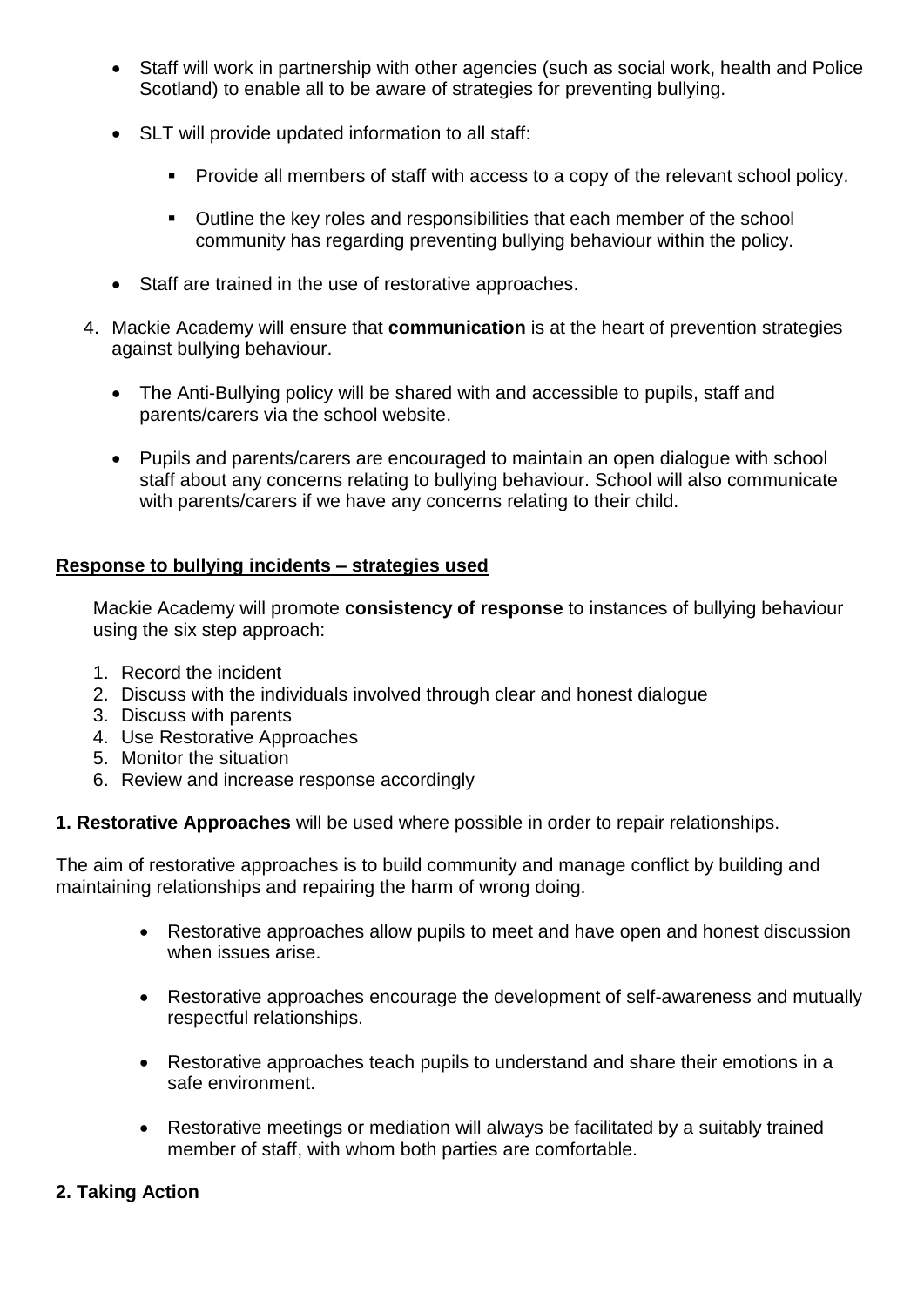- Staff will work in partnership with other agencies (such as social work, health and Police Scotland) to enable all to be aware of strategies for preventing bullying.
- SLT will provide updated information to all staff:
	- **Provide all members of staff with access to a copy of the relevant school policy.**
	- Outline the key roles and responsibilities that each member of the school community has regarding preventing bullying behaviour within the policy.
- Staff are trained in the use of restorative approaches.
- 4. Mackie Academy will ensure that **communication** is at the heart of prevention strategies against bullying behaviour.
	- The Anti-Bullying policy will be shared with and accessible to pupils, staff and parents/carers via the school website.
	- Pupils and parents/carers are encouraged to maintain an open dialogue with school staff about any concerns relating to bullying behaviour. School will also communicate with parents/carers if we have any concerns relating to their child.

#### **Response to bullying incidents – strategies used**

Mackie Academy will promote **consistency of response** to instances of bullying behaviour using the six step approach:

- 1. Record the incident
- 2. Discuss with the individuals involved through clear and honest dialogue
- 3. Discuss with parents
- 4. Use Restorative Approaches
- 5. Monitor the situation
- 6. Review and increase response accordingly

**1. Restorative Approaches** will be used where possible in order to repair relationships.

The aim of restorative approaches is to build community and manage conflict by building and maintaining relationships and repairing the harm of wrong doing.

- Restorative approaches allow pupils to meet and have open and honest discussion when issues arise.
- Restorative approaches encourage the development of self-awareness and mutually respectful relationships.
- Restorative approaches teach pupils to understand and share their emotions in a safe environment.
- Restorative meetings or mediation will always be facilitated by a suitably trained member of staff, with whom both parties are comfortable.

#### **2. Taking Action**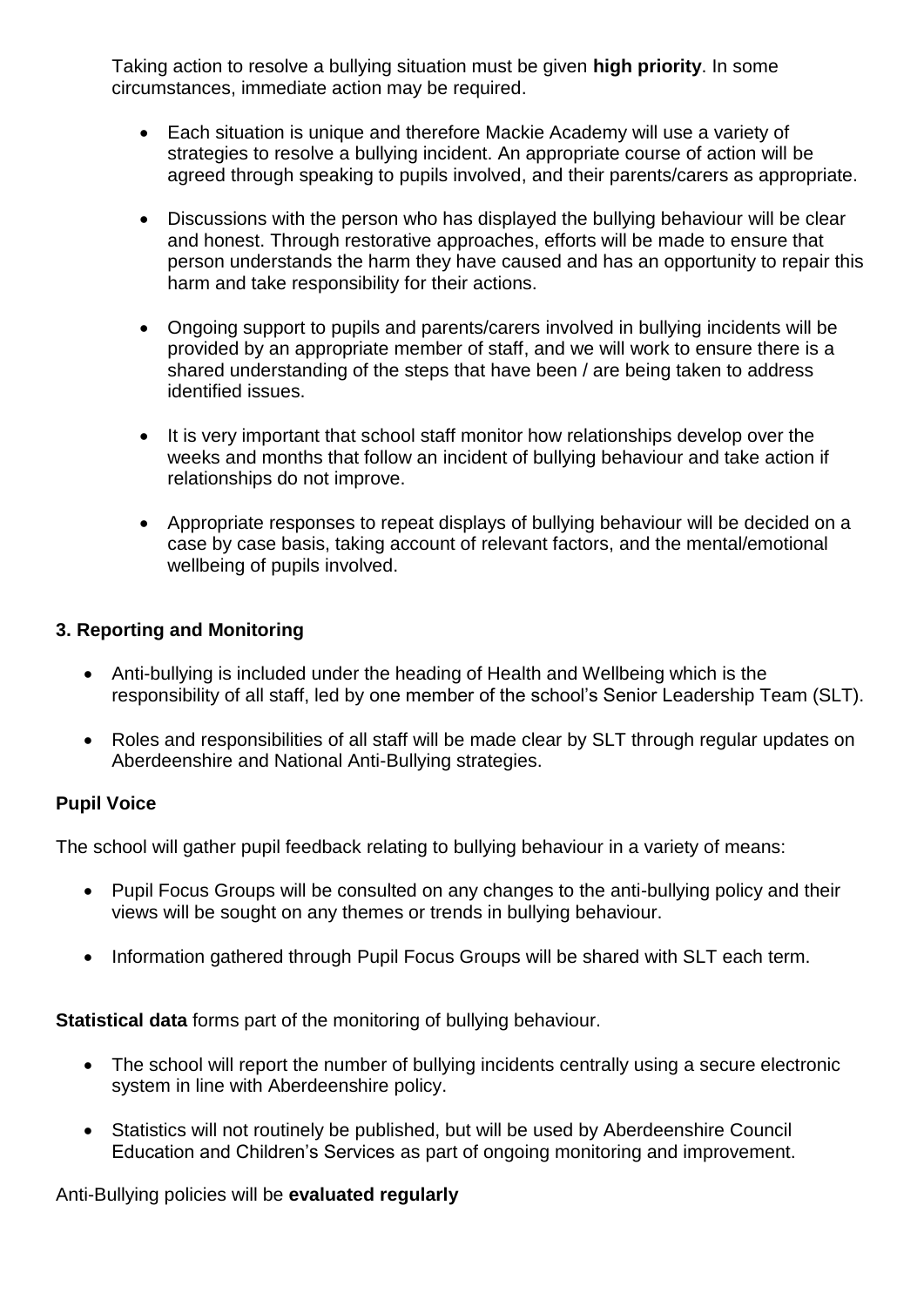Taking action to resolve a bullying situation must be given **high priority**. In some circumstances, immediate action may be required.

- Each situation is unique and therefore Mackie Academy will use a variety of strategies to resolve a bullying incident. An appropriate course of action will be agreed through speaking to pupils involved, and their parents/carers as appropriate.
- Discussions with the person who has displayed the bullying behaviour will be clear and honest. Through restorative approaches, efforts will be made to ensure that person understands the harm they have caused and has an opportunity to repair this harm and take responsibility for their actions.
- Ongoing support to pupils and parents/carers involved in bullying incidents will be provided by an appropriate member of staff, and we will work to ensure there is a shared understanding of the steps that have been / are being taken to address identified issues.
- It is very important that school staff monitor how relationships develop over the weeks and months that follow an incident of bullying behaviour and take action if relationships do not improve.
- Appropriate responses to repeat displays of bullying behaviour will be decided on a case by case basis, taking account of relevant factors, and the mental/emotional wellbeing of pupils involved.

#### **3. Reporting and Monitoring**

- Anti-bullying is included under the heading of Health and Wellbeing which is the responsibility of all staff, led by one member of the school's Senior Leadership Team (SLT).
- Roles and responsibilities of all staff will be made clear by SLT through regular updates on Aberdeenshire and National Anti-Bullying strategies.

#### **Pupil Voice**

The school will gather pupil feedback relating to bullying behaviour in a variety of means:

- Pupil Focus Groups will be consulted on any changes to the anti-bullying policy and their views will be sought on any themes or trends in bullying behaviour.
- Information gathered through Pupil Focus Groups will be shared with SLT each term.

**Statistical data** forms part of the monitoring of bullying behaviour.

- The school will report the number of bullying incidents centrally using a secure electronic system in line with Aberdeenshire policy.
- Statistics will not routinely be published, but will be used by Aberdeenshire Council Education and Children's Services as part of ongoing monitoring and improvement.

Anti-Bullying policies will be **evaluated regularly**